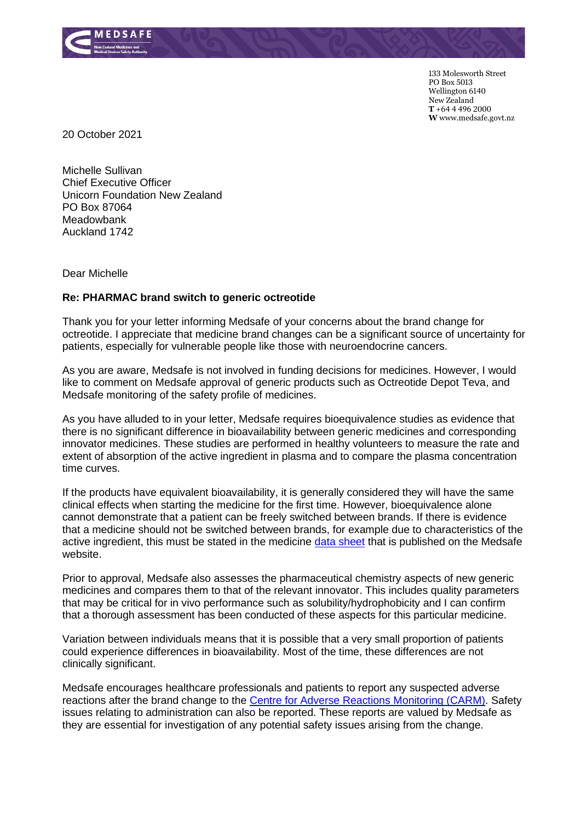

133 Molesworth Street PO Box 5013 Wellington 6140 New Zealand **T** +64 4 496 2000 **W** www.medsafe.govt.nz

20 October 2021

Michelle Sullivan Chief Executive Officer Unicorn Foundation New Zealand PO Box 87064 **Meadowbank** Auckland 1742

Dear Michelle

## **Re: PHARMAC brand switch to generic octreotide**

Thank you for your letter informing Medsafe of your concerns about the brand change for octreotide. I appreciate that medicine brand changes can be a significant source of uncertainty for patients, especially for vulnerable people like those with neuroendocrine cancers.

As you are aware, Medsafe is not involved in funding decisions for medicines. However, I would like to comment on Medsafe approval of generic products such as Octreotide Depot Teva, and Medsafe monitoring of the safety profile of medicines.

As you have alluded to in your letter, Medsafe requires bioequivalence studies as evidence that there is no significant difference in bioavailability between generic medicines and corresponding innovator medicines. These studies are performed in healthy volunteers to measure the rate and extent of absorption of the active ingredient in plasma and to compare the plasma concentration time curves.

If the products have equivalent bioavailability, it is generally considered they will have the same clinical effects when starting the medicine for the first time. However, bioequivalence alone cannot demonstrate that a patient can be freely switched between brands. If there is evidence that a medicine should not be switched between brands, for example due to characteristics of the active ingredient, this must be stated in the medicine [data sheet](https://www.medsafe.govt.nz/Medicines/infoSearch.asp) that is published on the Medsafe website.

Prior to approval, Medsafe also assesses the pharmaceutical chemistry aspects of new generic medicines and compares them to that of the relevant innovator. This includes quality parameters that may be critical for in vivo performance such as solubility/hydrophobicity and I can confirm that a thorough assessment has been conducted of these aspects for this particular medicine.

Variation between individuals means that it is possible that a very small proportion of patients could experience differences in bioavailability. Most of the time, these differences are not clinically significant.

Medsafe encourages healthcare professionals and patients to report any suspected adverse reactions after the brand change to the [Centre for Adverse Reactions Monitoring \(CARM\).](https://nzphvc.otago.ac.nz/reporting/) Safety issues relating to administration can also be reported. These reports are valued by Medsafe as they are essential for investigation of any potential safety issues arising from the change.